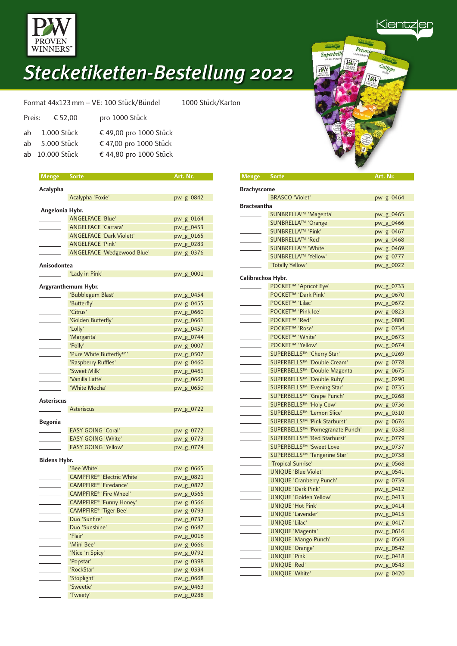

| Format 44x123 mm - VE: 100 Stück/Bündel<br>1000 Stück/Karton |                         |                        |  |
|--------------------------------------------------------------|-------------------------|------------------------|--|
|                                                              | Preis: $\epsilon$ 52,00 | pro 1000 Stück         |  |
|                                                              | ab 1.000 Stück          | € 49,00 pro 1000 Stück |  |
|                                                              | ab 5.000 Stück          | € 47,00 pro 1000 Stück |  |
|                                                              | ab 10.000 Stück         | € 44,80 pro 1000 Stück |  |

| <b>Menge</b> Sorte |                                    | Art. Nr.  |
|--------------------|------------------------------------|-----------|
|                    |                                    |           |
| Acalypha           |                                    |           |
|                    | Acalypha 'Foxie'                   | pw_g_0842 |
| Angelonia Hybr.    |                                    |           |
|                    | <b>ANGELFACE 'Blue'</b>            | pw_g_0164 |
|                    | <b>ANGELFACE 'Carrara'</b>         | pw_g_0453 |
|                    | <b>ANGELFACE 'Dark Violett'</b>    | pw_g_0165 |
|                    | <b>ANGELFACE 'Pink'</b>            | pw_g_0283 |
|                    | ANGELFACE 'Wedgewood Blue'         | pw_g_0376 |
| Anisodontea        |                                    |           |
|                    | 'Lady in Pink'                     | pw_g_0001 |
|                    |                                    |           |
|                    | Argyranthemum Hybr.                |           |
|                    | 'Bubblegum Blast'                  | pw_g_0454 |
|                    | 'Butterfly'                        | pw_g_0455 |
|                    | 'Citrus'                           | pw_g_0660 |
|                    | 'Golden Butterfly'                 | pw_g_0661 |
|                    | 'Lolly'                            | pw_g_0457 |
|                    | 'Margarita'                        | pw_g_0744 |
|                    | 'Polly'                            | pw_g_0007 |
|                    | 'Pure White Butterfly™'            | pw_g_0507 |
|                    | 'Raspberry Ruffles'                | pw_g_0460 |
|                    | 'Sweet Milk'                       | pw_g_0461 |
|                    | 'Vanilla Latte'                    | pw_g_0662 |
|                    | 'White Mocha'                      | pw_g_0650 |
| <b>Asteriscus</b>  |                                    |           |
|                    | <b>Asteriscus</b>                  | pw_g_0722 |
|                    |                                    |           |
| <b>Begonia</b>     |                                    |           |
|                    | <b>EASY GOING 'Coral'</b>          | pw_g_0772 |
|                    | <b>EASY GOING 'White'</b>          | pw_g_0773 |
|                    | <b>EASY GOING 'Yellow'</b>         | pw_g_0774 |
| Bidens Hybr.       |                                    |           |
|                    | 'Bee White'                        | pw_g_0665 |
|                    | <b>CAMPFIRE® 'Electric White'</b>  | pw_g_0821 |
|                    | CAMPFIRE <sup>®</sup> 'Firedance'  | pw_g_0822 |
|                    | CAMPFIRE <sup>®</sup> 'Fire Wheel' | pw_g_0565 |
|                    | CAMPFIRE® 'Funny Honey'            | pw_g_0566 |
|                    | CAMPFIRE® 'Tiger Bee'              | pw_g_0793 |
|                    | Duo 'Sunfire'                      | pw_g_0732 |
|                    | Duo 'Sunshine'                     | pw_g_0647 |
|                    | 'Flair'                            | pw_g_0016 |
|                    | 'Mini Bee'                         | pw_g_0666 |
|                    | 'Nice 'n Spicy'                    | pw_g_0792 |
|                    | 'Popstar'                          | pw_g_0398 |
|                    | 'RockStar'                         | pw_g_0334 |
|                    | 'Stoplight'                        | pw_g_0668 |
|                    | 'Sweetie'                          | pw_g_0463 |
|                    | 'Tweety'                           | pw_g_0288 |

<u> Kientz</u> Petu Superbells PW

| <b>Brachyscome</b> |                                 |           |
|--------------------|---------------------------------|-----------|
|                    | <b>BRASCO 'Violet'</b>          | pw_g_0464 |
| <b>Bracteantha</b> |                                 |           |
|                    | SUNBRELLA™ 'Magenta'            | pw_g_0465 |
|                    | SUNBRELLA™ 'Orange'             | pw_g_0466 |
|                    | SUNBRELLA™ 'Pink'               | pw_g_0467 |
|                    | SUNBRELLA™ 'Red'                | pw_g_0468 |
|                    | SUNBRELLA™ 'White'              | pw_g_0469 |
|                    | SUNBRELLA™ 'Yellow'             | pw_g_0777 |
|                    | 'Totally Yellow'                | pw_g_0022 |
| Calibrachoa Hybr.  |                                 |           |
|                    | POCKET™ 'Apricot Eye'           | pw_g_0733 |
|                    | POCKET <sup>™</sup> 'Dark Pink' | pw_g_0670 |
|                    | POCKET <sup>™</sup> 'Lilac'     | pw_g_0672 |
|                    | POCKET <sup>™</sup> 'Pink Ice'  | pw_g_0823 |
|                    | POCKET <sup>™</sup> 'Red'       | pw_g_0800 |
|                    | POCKET <sup>™</sup> 'Rose'      | pw_g_0734 |
|                    | POCKET™ 'White'                 | pw_g_0673 |
|                    | POCKET <sup>™</sup> 'Yellow'    | pw_g_0674 |
|                    | SUPERBELLS™ 'Cherry Star'       | pw_g_0269 |
|                    | SUPERBELLS™ 'Double Cream'      | pw_g_0778 |
|                    | SUPERBELLS™ 'Double Magenta'    | pw_g_0675 |
|                    | SUPERBELLS™ 'Double Ruby'       | pw_g_0290 |
|                    | SUPERBELLS™ 'Evening Star'      | pw_g_0735 |
|                    | SUPERBELLS™ 'Grape Punch'       | pw_g_0268 |
|                    | SUPERBELLS™ 'Holy Cow'          | pw_g_0736 |
|                    | SUPERBELLS™ 'Lemon Slice'       | pw_g_0310 |
|                    | SUPERBELLS™ 'Pink Starburst'    | pw_g_0676 |
|                    | SUPERBELLS™ 'Pomegranate Punch' | pw_g_0338 |
|                    | SUPERBELLS™ 'Red Starburst'     | pw_g_0779 |
|                    | SUPERBELLS™ 'Sweet Love'        | pw_g_0737 |
|                    | SUPERBELLS™ 'Tangerine Star'    | pw_g_0738 |
|                    | 'Tropical Sunrise'              | pw_g_0568 |
|                    | <b>UNIQUE 'Blue Violet'</b>     | pw_g_0541 |
|                    | <b>UNIQUE 'Cranberry Punch'</b> | pw_g_0739 |
|                    | UNIQUE 'Dark Pink'              | pw_g_0412 |
|                    | UNIQUE 'Golden Yellow'          | pw_g_0413 |
|                    | <b>UNIQUE 'Hot Pink'</b>        | pw_g_0414 |
|                    | UNIQUE 'Lavender'               | pw_g_0415 |
|                    | UNIQUE 'Lilac'                  | pw_g_0417 |
|                    | UNIQUE 'Magenta'                | pw_g_0616 |
|                    | <b>UNIQUE 'Mango Punch'</b>     | pw_g_0569 |
|                    | <b>UNIQUE 'Orange'</b>          | pw_g_0542 |
|                    | <b>UNIQUE 'Pink'</b>            | pw_g_0418 |
|                    | UNIQUE 'Red'                    | pw_g_0543 |
|                    | <b>UNIQUE 'White'</b>           | pw_g_0420 |

 **Menge Sorte Art. Nr.**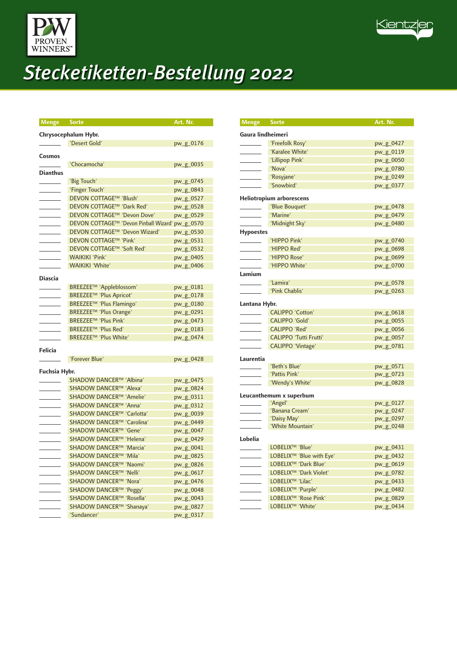



| <b>Menge</b> Sorte |                                       | Art. Nr.  |
|--------------------|---------------------------------------|-----------|
|                    |                                       |           |
|                    | Chrysocephalum Hybr.                  |           |
|                    | 'Desert Gold'                         | pw_g_0176 |
| Cosmos             |                                       |           |
|                    | 'Chocamocha'                          | pw_g_0035 |
| <b>Dianthus</b>    |                                       |           |
|                    | 'Big Touch'                           | pw_g_0745 |
|                    | 'Finger Touch'                        | pw_g_0843 |
|                    | DEVON COTTAGE™ 'Blush'                | pw_g_0527 |
|                    | DEVON COTTAGE™ 'Dark Red'             | pw_g_0528 |
|                    | DEVON COTTAGE™ 'Devon Dove'           | pw_g_0529 |
|                    | DEVON COTTAGE™ 'Devon Pinball Wizard' | pw_g_0570 |
|                    | DEVON COTTAGE™ 'Devon Wizard'         | pw_g_0530 |
|                    | DEVON COTTAGE™ 'Pink'                 | pw_g_0531 |
|                    | DEVON COTTAGE™ 'Soft Red'             | pw_g_0532 |
|                    | <b>WAIKIKI 'Pink'</b>                 | pw_g_0405 |
|                    | <b>WAIKIKI 'White'</b>                | pw_g_0406 |
|                    |                                       |           |
| Diascia            |                                       |           |
|                    | BREEZEE™ 'Appleblossom'               | pw_g_0181 |
|                    | BREEZEE™ 'Plus Apricot'               | pw_g_0178 |
|                    | BREEZEE™ 'Plus Flamingo'              | pw_g_0180 |
|                    | BREEZEE™ 'Plus Orange'                | pw_g_0291 |
|                    | BREEZEE™ 'Plus Pink'                  | pw_g_0473 |
|                    | BREEZEE <sup>™</sup> 'Plus Red'       | pw_g_0183 |
|                    | BREEZEE™ 'Plus White'                 | pw_g_0474 |
| Felicia            |                                       |           |
|                    | 'Forever Blue'                        | pw_g_0428 |
|                    |                                       |           |
| Fuchsia Hybr.      |                                       |           |
|                    | SHADOW DANCER™ 'Albina'               | pw_g_0475 |
|                    | SHADOW DANCER™ 'Alexa'                | pw_g_0824 |
|                    | SHADOW DANCER™ 'Amelie'               | pw_g_0311 |
|                    | SHADOW DANCER™ 'Anna'                 | pw_g_0312 |
|                    | SHADOW DANCER™ 'Carlotta'             | pw_g_0039 |
|                    | SHADOW DANCER™ 'Carolina'             | pw_g_0449 |
|                    | SHADOW DANCER™ 'Gene'                 | pw_g_0047 |
|                    | SHADOW DANCER™ 'Helena'               | pw_g_0429 |
|                    | SHADOW DANCER™ 'Marcia'               | pw_g_0041 |
|                    | SHADOW DANCER™ 'Mila'                 | pw_g_0825 |
|                    | SHADOW DANCER™ 'Naomi'                | pw_g_0826 |
|                    | SHADOW DANCER™ 'Nelli'                | pw_g_0617 |
|                    | SHADOW DANCER™ 'Nora'                 | pw_g_0476 |
|                    | SHADOW DANCER™ 'Peggy'                | pw_g_0048 |
|                    | SHADOW DANCER™ 'Rosella'              | pw_g_0043 |
|                    | SHADOW DANCER™ 'Shanaya'              | pw_g_0827 |
|                    | 'Sundancer'                           | pw_g_0317 |

| Menge Sorte       |                                      | Art. Nr.               |
|-------------------|--------------------------------------|------------------------|
| Gaura lindheimeri |                                      |                        |
|                   | 'Freefolk Rosy'                      | pw_g_0427              |
|                   | 'Karalee White'                      | pw_g_0119              |
|                   | 'Lillipop Pink'                      | pw_g_0050              |
|                   | 'Nova'                               | pw_g_0780              |
|                   | 'Rosyjane'                           | pw_g_0249              |
|                   | 'Snowbird'                           | pw_g_0377              |
|                   | <b>Heliotropium arborescens</b>      |                        |
|                   | 'Blue Bouquet'                       | pw_g_0478              |
|                   | 'Marine'                             | pw_g_0479              |
|                   | 'Midnight Sky'                       | pw_g_0480              |
| <b>Hypoestes</b>  |                                      |                        |
|                   | 'HIPPO Pink'                         | pw_g_0740              |
|                   | 'HIPPO Red'                          | pw_g_0698              |
|                   | 'HIPPO Rose'                         | pw_g_0699              |
|                   | 'HIPPO White'                        | pw_g_0700              |
| Lamium            |                                      |                        |
|                   | 'Lamira'                             | pw_g_0578              |
|                   | 'Pink Chablis'                       | pw_g_0263              |
| Lantana Hybr.     |                                      |                        |
|                   | <b>CALIPPO 'Cotton'</b>              | pw_g_0618              |
|                   | <b>CALIPPO 'Gold'</b>                | pw_g_0055              |
|                   | <b>CALIPPO 'Red'</b>                 | pw_g_0056              |
|                   | <b>CALIPPO 'Tutti Frutti'</b>        | pw_g_0057              |
|                   | CALIPPO 'Vintage'                    | pw_g_0781              |
|                   |                                      |                        |
| Laurentia         |                                      |                        |
|                   | 'Beth's Blue'<br>'Pattis Pink'       | pw_g_0571<br>pw_g_0723 |
|                   |                                      |                        |
|                   | 'Wendy's White'                      | pw_g_0828              |
|                   | Leucanthemum x superbum              |                        |
|                   | 'Angel'                              | pw_g_0127              |
|                   | 'Banana Cream'<br>'Daisy May'        | pw_g_0247              |
|                   | 'White Mountain'                     | pw_g_0297<br>pw_g_0248 |
|                   |                                      |                        |
| Lobelia           |                                      |                        |
|                   | LOBELIX <sup>™</sup> 'Blue'          | pw_g_0431              |
|                   | LOBELIX <sup>™</sup> 'Blue with Eye' | pw_g_0432              |
|                   | LOBELIX <sup>™</sup> 'Dark Blue'     | pw_g_0619              |
|                   | LOBELIX <sup>™</sup> 'Dark Violet'   | pw_g_0782              |
|                   | LOBELIX <sup>™</sup> 'Lilac'         | pw_g_0433              |
|                   | LOBELIX <sup>™</sup> 'Purple'        | pw_g_0482              |
|                   | LOBELIX <sup>™</sup> 'Rose Pink'     | pw_g_0829              |
|                   | LOBELIX <sup>™</sup> 'White'         | pw_g_0434              |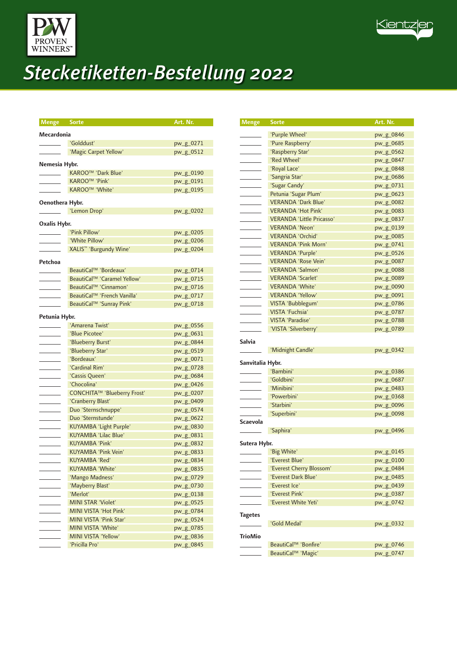



|                 | <b>Menge Sorte</b>                                           | Art. Nr.               |
|-----------------|--------------------------------------------------------------|------------------------|
| Mecardonia      |                                                              |                        |
|                 | 'Golddust'                                                   | pw_g_0271              |
|                 | 'Magic Carpet Yellow'                                        | pw_g_0512              |
|                 |                                                              |                        |
| Nemesia Hybr.   |                                                              |                        |
|                 | KAROO <sup>™</sup> 'Dark Blue'                               | pw_g_0190              |
|                 | <b>KAROO™ 'Pink'</b>                                         | pw_g_0191              |
|                 | KAROO <sup>™</sup> 'White'                                   | pw_g_0195              |
| Oenothera Hybr. |                                                              |                        |
|                 | 'Lemon Drop'                                                 | pw_g_0202              |
| Oxalis Hybr.    |                                                              |                        |
|                 | 'Pink Pillow'                                                | pw_g_0205              |
|                 | 'White Pillow'                                               | pw_g_0206              |
|                 | XALIS <sup>™</sup> 'Burgundy Wine'                           | pw_g_0204              |
|                 |                                                              |                        |
| Petchoa         |                                                              |                        |
|                 | BeautiCal™ 'Bordeaux'                                        | pw_g_0714              |
|                 | BeautiCal™ 'Caramel Yellow'                                  | pw_g_0715              |
|                 | BeautiCal <sup>™</sup> 'Cinnamon'                            | pw_g_0716              |
|                 | BeautiCal™ 'French Vanilla'                                  | pw_g_0717              |
|                 | BeautiCal™ 'Sunray Pink'                                     | pw_g_0718              |
| Petunia Hybr.   |                                                              |                        |
|                 | 'Amarena Twist'                                              | pw_g_0556              |
|                 | 'Blue Picotee'                                               | pw_g_0631              |
|                 | 'Blueberry Burst'                                            | pw_g_0844              |
|                 | 'Blueberry Star'                                             | pw_g_0519              |
|                 | 'Bordeaux'                                                   | pw_g_0071              |
|                 | 'Cardinal Rim'                                               | pw_g_0728              |
|                 | 'Cassis Queen'                                               | pw_g_0684              |
|                 | 'Chocolina'                                                  | pw_g_0426              |
|                 | CONCHITA™ 'Blueberry Frost'                                  | pw_g_0207              |
|                 | 'Cranberry Blast'                                            | pw_g_0409              |
|                 | Duo 'Sternschnuppe'                                          | pw_g_0574              |
|                 | Duo 'Sternstunde'                                            | pw_g_0622              |
|                 | <b>KUYAMBA 'Light Purple'</b><br><b>KUYAMBA 'Lilac Blue'</b> | pw_g_0830              |
|                 | <b>KUYAMBA 'Pink'</b>                                        | pw_g_0831              |
|                 | KUYAMBA 'Pink Vein'                                          | pw_g_0832              |
|                 | KUYAMBA 'Red'                                                | pw_g_0833<br>pw_g_0834 |
|                 | <b>KUYAMBA 'White'</b>                                       | pw_g_0835              |
|                 | 'Mango Madness'                                              | pw_g_0729              |
|                 | 'Mayberry Blast'                                             | pw_g_0730              |
|                 | 'Merlot'                                                     | pw_g_0138              |
|                 | <b>MINI STAR 'Violet'</b>                                    | pw_g_0525              |
|                 | MINI VISTA 'Hot Pink'                                        | pw_g_0784              |
|                 | MINI VISTA 'Pink Star'                                       | pw_g_0524              |
|                 | MINI VISTA 'White'                                           | pw_g_0785              |
|                 | MINI VISTA 'Yellow'                                          | pw_g_0836              |
|                 | 'Pricilla Pro'                                               | pw_g_0845              |

| Menge                                                                                                                                                                                                                                                                                                                                                                                                                | <b>Sorte</b>                       | Art. Nr.               |
|----------------------------------------------------------------------------------------------------------------------------------------------------------------------------------------------------------------------------------------------------------------------------------------------------------------------------------------------------------------------------------------------------------------------|------------------------------------|------------------------|
|                                                                                                                                                                                                                                                                                                                                                                                                                      |                                    |                        |
| <b>Contract Contract</b>                                                                                                                                                                                                                                                                                                                                                                                             | 'Purple Wheel'<br>'Pure Raspberry' | pw_g_0846              |
| <b>Contract Contract</b>                                                                                                                                                                                                                                                                                                                                                                                             | 'Raspberry Star'                   | pw_g_0685<br>pw_g_0562 |
| $\sim$                                                                                                                                                                                                                                                                                                                                                                                                               | 'Red Wheel'                        | pw_g_0847              |
| <b>Contract Contract Contract</b>                                                                                                                                                                                                                                                                                                                                                                                    | 'Royal Lace'                       | pw_g_0848              |
| $\overline{\phantom{a}}$                                                                                                                                                                                                                                                                                                                                                                                             | 'Sangria Star'                     | pw_g_0686              |
| $\overline{\phantom{a}}$                                                                                                                                                                                                                                                                                                                                                                                             | 'Sugar Candy'                      | pw_g_0731              |
|                                                                                                                                                                                                                                                                                                                                                                                                                      | Petunia 'Sugar Plum'               | pw_g_0623              |
|                                                                                                                                                                                                                                                                                                                                                                                                                      | <b>VERANDA 'Dark Blue'</b>         | pw_g_0082              |
|                                                                                                                                                                                                                                                                                                                                                                                                                      | <b>VERANDA 'Hot Pink'</b>          | pw_g_0083              |
|                                                                                                                                                                                                                                                                                                                                                                                                                      | <b>VERANDA 'Little Pricasso'</b>   | pw_g_0837              |
|                                                                                                                                                                                                                                                                                                                                                                                                                      | <b>VERANDA 'Neon'</b>              | pw_g_0139              |
| $\mathcal{L}^{\text{max}}$ and $\mathcal{L}^{\text{max}}$                                                                                                                                                                                                                                                                                                                                                            | <b>VERANDA 'Orchid'</b>            | pw_g_0085              |
|                                                                                                                                                                                                                                                                                                                                                                                                                      | <b>VERANDA 'Pink Morn'</b>         | pw_g_0741              |
| $\mathcal{L}^{\text{max}}$ , and $\mathcal{L}^{\text{max}}$                                                                                                                                                                                                                                                                                                                                                          | <b>VERANDA 'Purple'</b>            | pw_g_0526              |
|                                                                                                                                                                                                                                                                                                                                                                                                                      | <b>VERANDA 'Rose Vein'</b>         | pw_g_0087              |
|                                                                                                                                                                                                                                                                                                                                                                                                                      | <b>VERANDA 'Salmon'</b>            | pw_g_0088              |
|                                                                                                                                                                                                                                                                                                                                                                                                                      | <b>VERANDA 'Scarlet'</b>           | pw_g_0089              |
| $\label{eq:2} \frac{1}{2} \int_{\mathbb{R}^3} \frac{1}{\sqrt{2}} \, \frac{1}{\sqrt{2}} \, \frac{1}{\sqrt{2}} \, \frac{1}{\sqrt{2}} \, \frac{1}{\sqrt{2}} \, \frac{1}{\sqrt{2}} \, \frac{1}{\sqrt{2}} \, \frac{1}{\sqrt{2}} \, \frac{1}{\sqrt{2}} \, \frac{1}{\sqrt{2}} \, \frac{1}{\sqrt{2}} \, \frac{1}{\sqrt{2}} \, \frac{1}{\sqrt{2}} \, \frac{1}{\sqrt{2}} \, \frac{1}{\sqrt{2}} \, \frac{1}{\sqrt{2}} \, \frac$ | <b>VERANDA 'White'</b>             | pw_g_0090              |
|                                                                                                                                                                                                                                                                                                                                                                                                                      | <b>VERANDA 'Yellow'</b>            | pw_g_0091              |
| $\sim$ $\sim$                                                                                                                                                                                                                                                                                                                                                                                                        | VISTA 'Bubblegum'                  | pw_g_0786              |
|                                                                                                                                                                                                                                                                                                                                                                                                                      | <b>VISTA 'Fuchsia'</b>             | pw_g_0787              |
|                                                                                                                                                                                                                                                                                                                                                                                                                      | <b>VISTA 'Paradise'</b>            | pw_g_0788              |
|                                                                                                                                                                                                                                                                                                                                                                                                                      | 'VISTA 'Silverberry'               | pw_g_0789              |
|                                                                                                                                                                                                                                                                                                                                                                                                                      |                                    |                        |
| Salvia                                                                                                                                                                                                                                                                                                                                                                                                               |                                    |                        |
|                                                                                                                                                                                                                                                                                                                                                                                                                      | 'Midnight Candle'                  | pw_g_0342              |
| Sanvitalia Hybr.                                                                                                                                                                                                                                                                                                                                                                                                     |                                    |                        |
|                                                                                                                                                                                                                                                                                                                                                                                                                      | 'Bambini'                          | pw_g_0386              |
|                                                                                                                                                                                                                                                                                                                                                                                                                      | 'Goldbini'                         | pw_g_0687              |
|                                                                                                                                                                                                                                                                                                                                                                                                                      | 'Minibini'                         | pw_g_0483              |
|                                                                                                                                                                                                                                                                                                                                                                                                                      | 'Powerbini'                        | pw_g_0368              |
|                                                                                                                                                                                                                                                                                                                                                                                                                      | 'Starbini'                         | pw_g_0096              |
|                                                                                                                                                                                                                                                                                                                                                                                                                      | 'Superbini'                        | pw_g_0098              |
| Scaevola                                                                                                                                                                                                                                                                                                                                                                                                             |                                    |                        |
|                                                                                                                                                                                                                                                                                                                                                                                                                      | 'Saphira'                          | pw_g_0496              |
|                                                                                                                                                                                                                                                                                                                                                                                                                      |                                    |                        |
| Sutera Hybr.                                                                                                                                                                                                                                                                                                                                                                                                         |                                    |                        |
|                                                                                                                                                                                                                                                                                                                                                                                                                      | 'Big White'<br>'Everest Blue'      | pw_g_0145              |
|                                                                                                                                                                                                                                                                                                                                                                                                                      | 'Everest Cherry Blossom'           | pw_g_0100              |
|                                                                                                                                                                                                                                                                                                                                                                                                                      | 'Everest Dark Blue'                | pw_g_0484              |
|                                                                                                                                                                                                                                                                                                                                                                                                                      | 'Everest Ice'                      | pw_g_0485<br>pw_g_0439 |
|                                                                                                                                                                                                                                                                                                                                                                                                                      | 'Everest Pink'                     |                        |
|                                                                                                                                                                                                                                                                                                                                                                                                                      | 'Everest White Yeti'               | pw_g_0387<br>pw_g_0742 |
|                                                                                                                                                                                                                                                                                                                                                                                                                      |                                    |                        |
| <b>Tagetes</b>                                                                                                                                                                                                                                                                                                                                                                                                       |                                    |                        |
|                                                                                                                                                                                                                                                                                                                                                                                                                      | 'Gold Medal'                       | pw_g_0332              |
| TrioMio                                                                                                                                                                                                                                                                                                                                                                                                              |                                    |                        |
|                                                                                                                                                                                                                                                                                                                                                                                                                      | BeautiCal™ 'Bonfire'               | pw_g_0746              |
|                                                                                                                                                                                                                                                                                                                                                                                                                      | BeautiCal™ 'Magic'                 | pw_g_0747              |
|                                                                                                                                                                                                                                                                                                                                                                                                                      |                                    |                        |